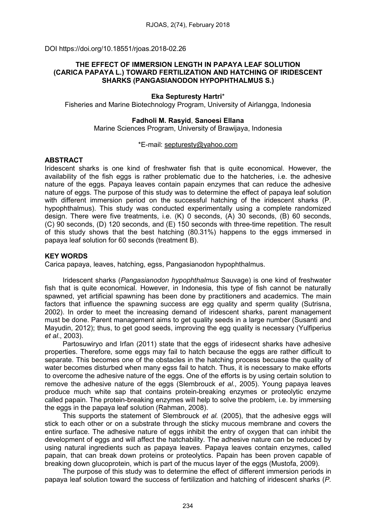DOI https://doi.org/10.18551/rjoas.2018-02.26

## THE EFFECT OF IMMERSION LENGTH IN PAPAYA LEAF SOLUTION (CARICA PAPAYA L.) TOWARD FERTILIZATION AND HATCHING OF IRIDESCENT SHARKS (PANGASIANODON HYPOPHTHALMUS S.)

# Eka Septuresty Hartri\*

Fisheries and Marine Biotechnology Program, University of Airlangga, Indonesia

## Fadholi M. Rasyid, Sanoesi Ellana

Marine Sciences Program, University of Brawijaya, Indonesia

#### \*E-mail: [septuresty@yahoo.com](mailto:septuresty@yahoo.com)

#### ABSTRACT

Iridescent sharks is one kind of freshwater fish that is quite economical. However, the availability of the fish eggs is rather problematic due to the hatcheries, i.e. the adhesive nature of the eggs. Papaya leaves contain papain enzymes that can reduce the adhesive nature of eggs. The purpose of this study was to determine the effect of papaya leaf solution with different immersion period on the successful hatching of the iridescent sharks (P. hypophthalmus). This study was conducted experimentally using a complete randomized design. There were five treatments, i.e. (K) 0 seconds, (A) 30 seconds, (B) 60 seconds, (C) 90 seconds, (D) 120 seconds, and (E) 150 seconds with three-time repetition. The result of this study shows that the best hatching (80.31%) happens to the eggs immersed in papaya leaf solution for 60 seconds (treatment B).

## KEY WORDS

Carica papaya, leaves, hatching, egss, Pangasianodon hypophthalmus.

Iridescent sharks (*Pangasianodon hypophthalmus* Sauvage) is one kind of freshwater fish that is quite economical. However, in Indonesia, this type of fish cannot be naturally spawned, yet artificial spawning has been done by practitioners and academics. The main factors that influence the spawning success are egg quality and sperm quality (Sutrisna, 2002). In order to meet the increasing demand of iridescent sharks, parent management must be done. Parent management aims to get quality seeds in a large number (Susanti and Mayudin, 2012); thus, to get good seeds, improving the egg quality is necessary (Yulfiperius *et al*., 2003).

Partosuwirvo and Irfan (2011) state that the eggs of iridesecnt sharks have adhesive properties. Therefore, some eggs may fail to hatch because the eggs are rather difficult to separate. This becomes one of the obstacles in the hatching process becuase the quality of water becomes disturbed when many egss fail to hatch. Thus, it is necessary to make efforts to overcome the adhesive nature of the eggs. One of the efforts is by using certain solution to remove the adhesive nature of the eggs (Slembrouck *et al*., 2005). Young papaya leaves produce much white sap that contains protein-breaking enzymes or proteolytic enzyme called papain. The protein-breaking enzymes will help to solve the problem, i.e. by immersing the eggs in the papaya leaf solution (Rahman, 2008).

This supports the statement of Slembrouck *et al.* (2005), that the adhesive eggs will stick to each other or on a substrate through the sticky mucous membrane and covers the entire surface. The adhesive nature of eggs inhibit the entry of oxygen that can inhibit the development of eggs and will affect the hatchability. The adhesive nature can be reduced by using natural ingredients such as papaya leaves. Papaya leaves contain enzymes, called papain, that can break down proteins or proteolytics. Papain has been proven capable of breaking down glucoprotein, which is part of the mucus layer of the eggs (Mustofa, 2009).

The purpose of this study was to determine the effect of different immersion periods in papaya leaf solution toward the success of fertilization and hatching of iridescent sharks (*P.*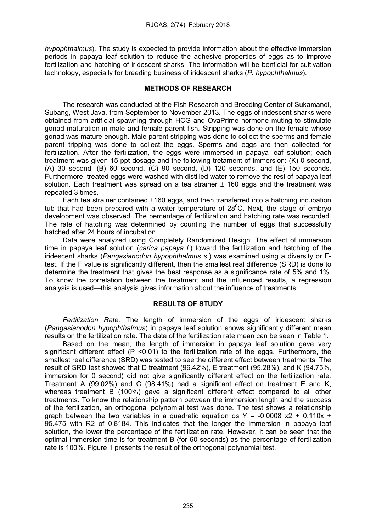*hypophthalmus*). The study is expected to provide information about the effective immersion periods in papaya leaf solution to reduce the adhesive properties of eggs as to improve fertilization and hatching of iridescent sharks. The information will be benficial for cultivation technology, especially for breeding business of iridescent sharks (*P. hypophthalmus*).

## METHODS OF RESEARCH

The research was conducted at the Fish Research and Breeding Center of Sukamandi, Subang, West Java, from September to November 2013. The eggs of iridescent sharks were obtained from artificial spawning through HCG and OvaPrime hormone muting to stimulate gonad maturation in male and female parent fish. Stripping was done on the female whose gonad was mature enough. Male parent stripping was done to collect the sperms and female parent tripping was done to collect the eggs. Sperms and eggs are then collected for fertilization. After the fertilization, the eggs were immersed in papaya leaf solution; each treatment was given 15 ppt dosage and the following tretament of immersion: (K) 0 second, (A) 30 second, (B) 60 second, (C) 90 second, (D) 120 seconds, and (E) 150 seconds. Furthermore, treated eggs were washed with distilled water to remove the rest of papaya leaf solution. Each treatment was spread on a tea strainer  $\pm$  160 eggs and the treatment was repeated 3 times.

Each tea strainer contained  $\pm 160$  eggs, and then transferred into a hatching incubation tub that had been prepared with a water temperature of  $28^{\circ}$ C. Next, the stage of embryo development was observed. The percentage of fertilization and hatching rate was recorded. The rate of hatching was determined by counting the number of eggs that successfully hatched after 24 hours of incubation.

Data were analyzed using Completely Randomized Design. The effect of immersion time in papaya leaf solution (*carica papaya l*.) toward the fertilization and hatching of the iridescent sharks (*Pangasianodon hypophthalmus s.*) was examined using a diversity or Ftest. If the F value is significantly different, then the smallest real difference (SRD) is done to determine the treatment that gives the best response as a significance rate of 5% and 1%. To know the correlation between the treatment and the influenced results, a regression analysis is used—this analysis gives information about the influence of treatments.

#### RESULTS OF STUDY

*Fertilization Rate.* The length of immersion of the eggs of iridescent sharks (*Pangasianodon hypophthalmus*) in papaya leaf solution shows significantly different mean results on the fertilization rate. The data of the fertilization rate mean can be seen in Table 1.

Based on the mean, the length of immersion in papaya leaf solution gave very significant different effect  $(P \le 0.01)$  to the fertilization rate of the eggs. Furthermore, the smallest real difference (SRD) was tested to see the different effect between treatments. The result of SRD test showed that D treatment (96.42%), E treatment (95.28%), and K (94.75%, immersion for 0 second) did not give significantly different effect on the fertilization rate. Treatment A  $(99.02\%)$  and C  $(98.41\%)$  had a significant effect on treatment E and K. whereas treatment B (100%) gave a significant different effect compared to all other treatments. To know the relationship pattern between the immersion length and the success of the fertilization, an orthogonal polynomial test was done. The test shows a relationship graph between the two variables in a quadratic equation os  $Y = -0.0008 \times 2 + 0.110x + 1$ 95.475 with R2 of 0.8184. This indicates that the longer the immersion in papaya leaf solution, the lower the percentage of the fertilization rate. However, it can be seen that the optimal immersion time is for treatment B (for 60 seconds) as the percentage of fertilization rate is 100%. Figure 1 presents the result of the orthogonal polynomial test.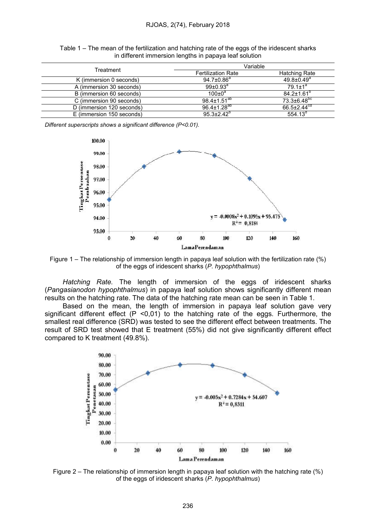| Treatment                 | Variable                  |                               |
|---------------------------|---------------------------|-------------------------------|
|                           | <b>Fertilization Rate</b> | Hatching Rate                 |
| K (immersion 0 seconds)   | $94.7 \pm 0.86^a$         | $49.8 \pm 0.49$ <sup>a</sup>  |
| A (immersion 30 seconds)  | $99{\pm}0.93^{\text{a}}$  | $79.1 + 1^a$                  |
| B (immersion 60 seconds)  | $100+0^a$                 | $84.2 + 1.61^b$               |
| C (immersion 90 seconds)  | $98.4 \pm 1.51^{ab}$      | $73.3 \pm 6.48$ <sup>pc</sup> |
| D (immersion 120 seconds) | $96.4 \pm 1.28^{ab}$      | $66.5 \pm 2.44$ <sup>cd</sup> |
| E (immersion 150 seconds) | $95.3 \pm 2.42^{\circ}$   | 554.13 $^{a}$                 |

Table 1 – The mean of the fertilization and hatching rate of the eggs of the iridescent sharks in different immersion lengths in papaya leaf solution

*Different superscripts shows a significant difference (P<0.01).*



Figure 1 – The relationship of immersion length in papaya leaf solution with the fertilization rate (%) of the eggs of iridescent sharks (*P. hypophthalmus*)

*Hatching Rate.* The length of immersion of the eggs of iridescent sharks (*Pangasianodon hypophthalmus*) in papaya leaf solution shows significantly different mean results on the hatching rate. The data of the hatching rate mean can be seen in Table 1.

Based on the mean, the length of immersion in papaya leaf solution gave very significant different effect  $(P \le 0.01)$  to the hatching rate of the eggs. Furthermore, the smallest real difference (SRD) was tested to see the different effect between treatments. The result of SRD test showed that E treatment (55%) did not give significantly different effect compared to K treatment (49.8%).



Figure 2 – The relationship of immersion length in papaya leaf solution with the hatching rate (%) of the eggs of iridescent sharks (*P. hypophthalmus*)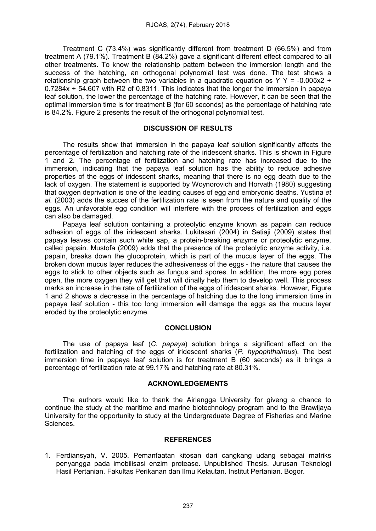Treatment C (73.4%) was significantly different from treatment D (66.5%) and from treatment A (79.1%). Treatment B (84.2%) gave a significant different effect compared to all other treatments. To know the relationship pattern between the immersion length and the success of the hatching, an orthogonal polynomial test was done. The test shows a relationship graph between the two variables in a quadratic equation os Y Y = -0.005x2 + 0.7284x + 54.607 with R2 of 0.8311. This indicates that the longer the immersion in papaya leaf solution, the lower the percentage of the hatching rate. However, it can be seen that the optimal immersion time is for treatment B (for 60 seconds) as the percentage of hatching rate is 84.2%. Figure 2 presents the result of the orthogonal polynomial test.

## DISCUSSION OF RESULTS

The results show that immersion in the papaya leaf solution significantly affects the percentage of fertilization and hatching rate of the iridescent sharks. This is shown in Figure 1 and 2. The percentage of fertilization and hatching rate has increased due to the immersion, indicating that the papaya leaf solution has the ability to reduce adhesive properties of the eggs of iridescent sharks, meaning that there is no egg death due to the lack of oxygen. The statement is supported by Woynorovich and Horvath (1980) suggesting that oxygen deprivation is one of the leading causes of egg and embryonic deaths. Yustina *et al.* (2003) adds the succes of the fertilization rate is seen from the nature and quality of the eggs. An unfavorable egg condition will interfere with the process of fertilization and eggs can also be damaged.

Papaya leaf solution containing a proteolytic enzyme known as papain can reduce adhesion of eggs of the iridescent sharks. Lukitasari (2004) in Setiaji (2009) states that papaya leaves contain such white sap, a protein-breaking enzyme or proteolytic enzyme, called papain. Mustofa (2009) adds that the presence of the proteolytic enzyme activity, i.e. papain, breaks down the glucoprotein, which is part of the mucus layer of the eggs. The broken down mucus layer reduces the adhesiveness of the eggs - the nature that causes the eggs to stick to other objects such as fungus and spores. In addition, the more egg pores open, the more oxygen they will get that will dinally help them to develop well. This process marks an increase in the rate of fertilization of the eggs of iridescent sharks. However, Figure 1 and 2 shows a decrease in the percentage of hatching due to the long immersion time in papaya leaf solution - this too long immersion will damage the eggs as the mucus layer eroded by the proteolytic enzyme.

## **CONCLUSION**

The use of papaya leaf (*C. papaya*) solution brings a significant effect on the fertilization and hatching of the eggs of iridescent sharks (*P. hypophthalmus*). The best immersion time in papaya leaf solution is for treatment B (60 seconds) as it brings a percentage of fertilization rate at 99.17% and hatching rate at 80.31%.

#### ACKNOWLEDGEMENTS

The authors would like to thank the Airlangga University for giveng a chance to continue the study at the maritime and marine biotechnology program and to the Brawijaya University for the opportunity to study at the Undergraduate Degree of Fisheries and Marine **Sciences** 

#### REFERENCES

1. Ferdiansyah, V. 2005. Pemanfaatan kitosan dari cangkang udang sebagai matriks penyangga pada imobilisasi enzim protease. Unpublished Thesis. Jurusan Teknologi Hasil Pertanian. Fakultas Perikanan dan Ilmu Kelautan. Institut Pertanian. Bogor.